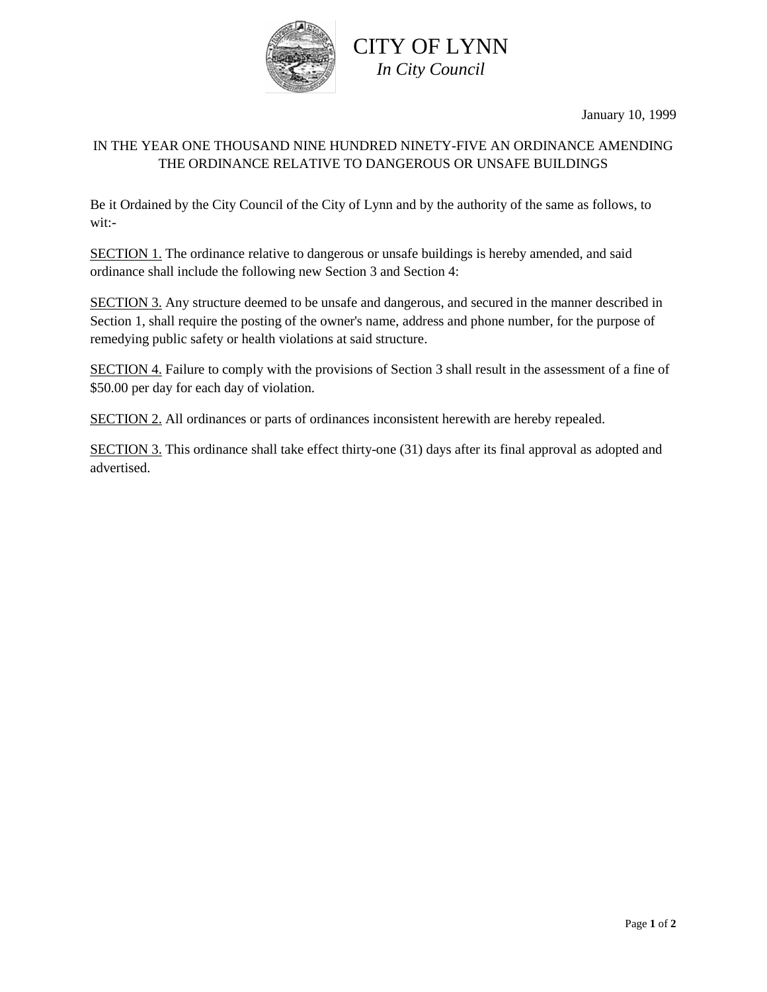

## CITY OF LYNN *In City Council*

January 10, 1999

## IN THE YEAR ONE THOUSAND NINE HUNDRED NINETY-FIVE AN ORDINANCE AMENDING THE ORDINANCE RELATIVE TO DANGEROUS OR UNSAFE BUILDINGS

Be it Ordained by the City Council of the City of Lynn and by the authority of the same as follows, to wit:-

SECTION 1. The ordinance relative to dangerous or unsafe buildings is hereby amended, and said ordinance shall include the following new Section 3 and Section 4:

SECTION 3. Any structure deemed to be unsafe and dangerous, and secured in the manner described in Section 1, shall require the posting of the owner's name, address and phone number, for the purpose of remedying public safety or health violations at said structure.

SECTION 4. Failure to comply with the provisions of Section 3 shall result in the assessment of a fine of \$50.00 per day for each day of violation.

SECTION 2. All ordinances or parts of ordinances inconsistent herewith are hereby repealed.

SECTION 3. This ordinance shall take effect thirty-one (31) days after its final approval as adopted and advertised.